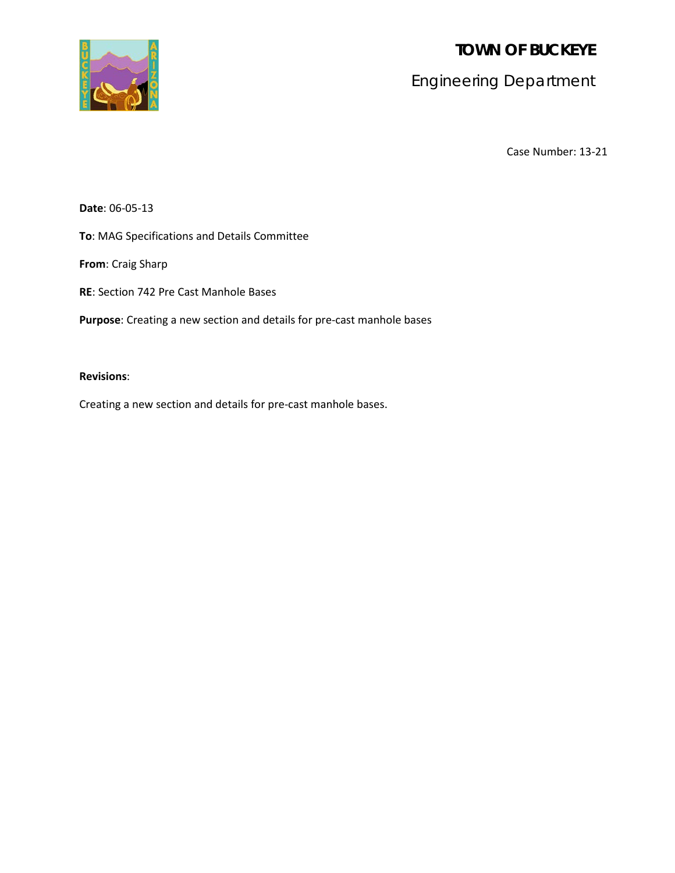**TOWN OF BUCKEYE**



Engineering Department

Case Number: 13-21

**Date**: 06-05-13

**To**: MAG Specifications and Details Committee

**From**: Craig Sharp

**RE**: Section 742 Pre Cast Manhole Bases

**Purpose**: Creating a new section and details for pre-cast manhole bases

# **Revisions**:

Creating a new section and details for pre-cast manhole bases.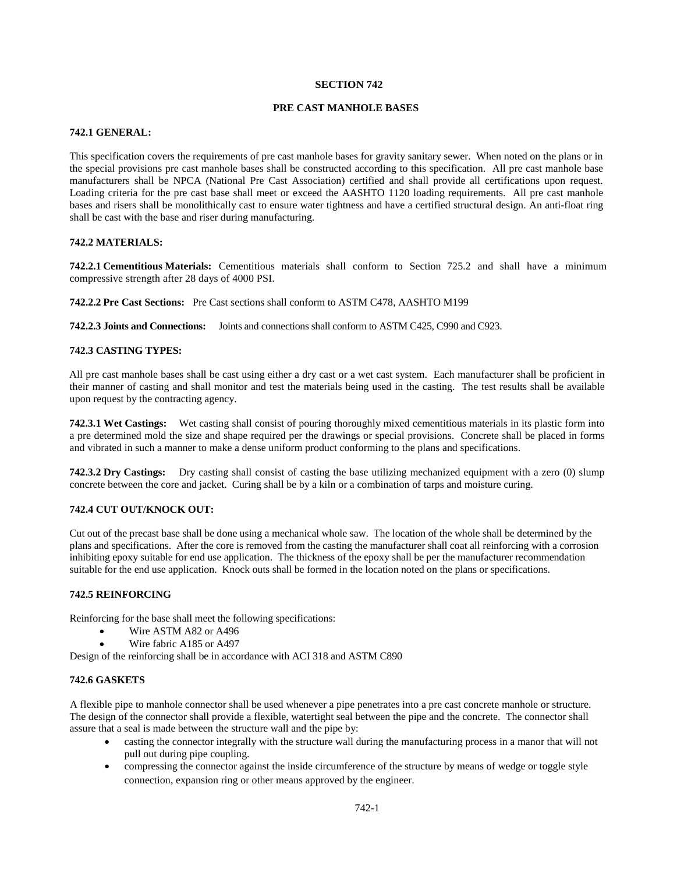#### **SECTION 742**

## **PRE CAST MANHOLE BASES**

### **742.1 GENERAL:**

This specification covers the requirements of pre cast manhole bases for gravity sanitary sewer. When noted on the plans or in the special provisions pre cast manhole bases shall be constructed according to this specification. All pre cast manhole base manufacturers shall be NPCA (National Pre Cast Association) certified and shall provide all certifications upon request. Loading criteria for the pre cast base shall meet or exceed the AASHTO 1120 loading requirements. All pre cast manhole bases and risers shall be monolithically cast to ensure water tightness and have a certified structural design. An anti-float ring shall be cast with the base and riser during manufacturing.

#### **742.2 MATERIALS:**

**742.2.1 Cementitious Materials:** Cementitious materials shall conform to Section 725.2 and shall have a minimum compressive strength after 28 days of 4000 PSI.

**742.2.2 Pre Cast Sections:** Pre Cast sections shall conform to ASTM C478, AASHTO M199

**742.2.3 Joints and Connections:** Joints and connections shall conform to ASTM C425, C990 and C923.

#### **742.3 CASTING TYPES:**

All pre cast manhole bases shall be cast using either a dry cast or a wet cast system. Each manufacturer shall be proficient in their manner of casting and shall monitor and test the materials being used in the casting. The test results shall be available upon request by the contracting agency.

**742.3.1 Wet Castings:** Wet casting shall consist of pouring thoroughly mixed cementitious materials in its plastic form into a pre determined mold the size and shape required per the drawings or special provisions. Concrete shall be placed in forms and vibrated in such a manner to make a dense uniform product conforming to the plans and specifications.

**742.3.2 Dry Castings:** Dry casting shall consist of casting the base utilizing mechanized equipment with a zero (0) slump concrete between the core and jacket. Curing shall be by a kiln or a combination of tarps and moisture curing.

#### **742.4 CUT OUT/KNOCK OUT:**

Cut out of the precast base shall be done using a mechanical whole saw. The location of the whole shall be determined by the plans and specifications. After the core is removed from the casting the manufacturer shall coat all reinforcing with a corrosion inhibiting epoxy suitable for end use application. The thickness of the epoxy shall be per the manufacturer recommendation suitable for the end use application. Knock outs shall be formed in the location noted on the plans or specifications.

#### **742.5 REINFORCING**

Reinforcing for the base shall meet the following specifications:

- Wire ASTM A82 or A496
- Wire fabric A185 or A497

Design of the reinforcing shall be in accordance with ACI 318 and ASTM C890

#### **742.6 GASKETS**

A flexible pipe to manhole connector shall be used whenever a pipe penetrates into a pre cast concrete manhole or structure. The design of the connector shall provide a flexible, watertight seal between the pipe and the concrete. The connector shall assure that a seal is made between the structure wall and the pipe by:

- casting the connector integrally with the structure wall during the manufacturing process in a manor that will not pull out during pipe coupling.
- compressing the connector against the inside circumference of the structure by means of wedge or toggle style connection, expansion ring or other means approved by the engineer.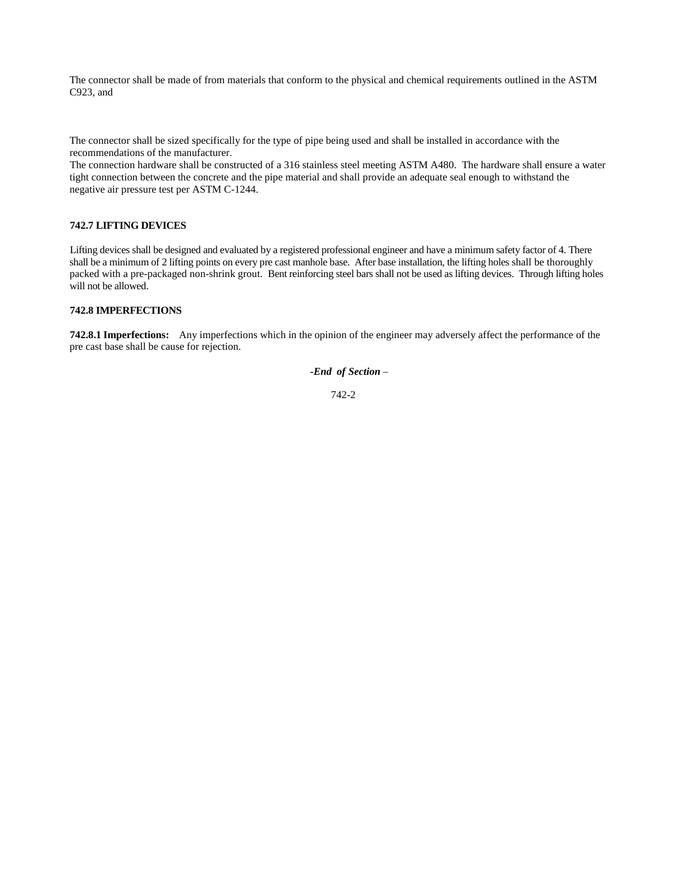The connector shall be made of from materials that conform to the physical and chemical requirements outlined in the ASTM C923, and

The connector shall be sized specifically for the type of pipe being used and shall be installed in accordance with the recommendations of the manufacturer.

The connection hardware shall be constructed of a 316 stainless steel meeting ASTM A480. The hardware shall ensure a water tight connection between the concrete and the pipe material and shall provide an adequate seal enough to withstand the negative air pressure test per ASTM C-1244.

### **742.7 LIFTING DEVICES**

Lifting devices shall be designed and evaluated by a registered professional engineer and have a minimum safety factor of 4. There shall be a minimum of 2 lifting points on every pre cast manhole base. After base installation, the lifting holes shall be thoroughly packed with a pre-packaged non-shrink grout. Bent reinforcing steel bars shall not be used as lifting devices. Through lifting holes will not be allowed.

#### **742.8 IMPERFECTIONS**

**742.8.1 Imperfections:** Any imperfections which in the opinion of the engineer may adversely affect the performance of the pre cast base shall be cause for rejection.

*-End of Section* –

742-2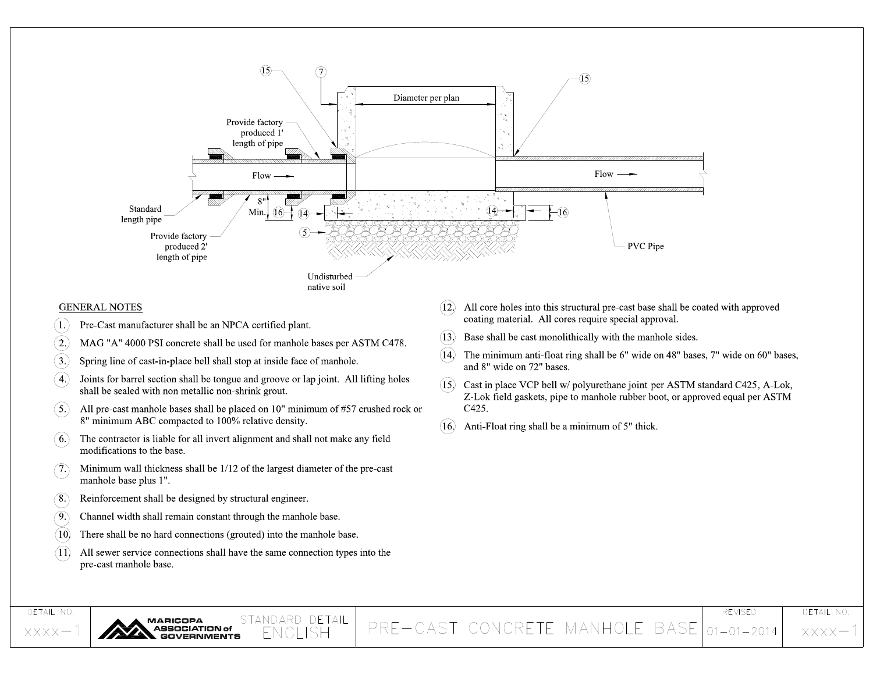

PRE-CAST CONCRETE MANHOLE BASE 01-01-2014

**XXXX** 

STANDARD DETAIL<br>ENGLISH

**MARICOPA** 

SOCIATION of

**RNMENTS** 

DETAIL NO.

 $XXXX -$